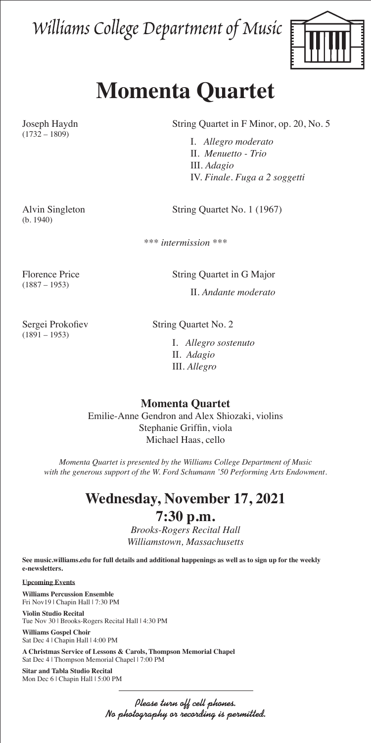Williams College Department of Music



## **Momenta Quartet**

 $(1732 - 1809)$ 

(b. 1940)

Joseph Haydn String Quartet in F Minor, op. 20, No. 5

 I. *Allegro moderato* II. *Menuetto - Trio* III. *Adagio* IV. *Finale. Fuga a 2 soggetti*

Alvin Singleton String Quartet No. 1 (1967)

*\*\*\* intermission \*\*\**

(1887 – 1953)

Florence Price String Quartet in G Major

II. *Andante moderato*

 $(1891 - 1953)$ 

Sergei Prokofiev String Quartet No. 2

I. *Allegro sostenuto* II. *Adagio* III. *Allegro*

**Momenta Quartet**

Emilie-Anne Gendron and Alex Shiozaki, violins Stephanie Griffin, viola Michael Haas, cello

*Momenta Quartet is presented by the Williams College Department of Music with the generous support of the W. Ford Schumann '50 Performing Arts Endowment.*

## **Wednesday, November 17, 2021**

## **7:30 p.m.**

*Brooks-Rogers Recital Hall Williamstown, Massachusetts*

**See music.williams.edu for full details and additional happenings as well as to sign up for the weekly e-newsletters.** 

**Upcoming Events**

**Williams Percussion Ensemble** Fri Nov19 | Chapin Hall | 7:30 PM

**Violin Studio Recital** Tue Nov 30 | Brooks-Rogers Recital Hall | 4:30 PM

**Williams Gospel Choir** Sat Dec 4 | Chapin Hall | 4:00 PM

**A Christmas Service of Lessons & Carols, Thompson Memorial Chapel** Sat Dec 4 | Thompson Memorial Chapel | 7:00 PM

**Sitar and Tabla Studio Recital** Mon Dec 6 | Chapin Hall | 5:00 PM

> Please turn off cell phones. No photography or recording is permitted.